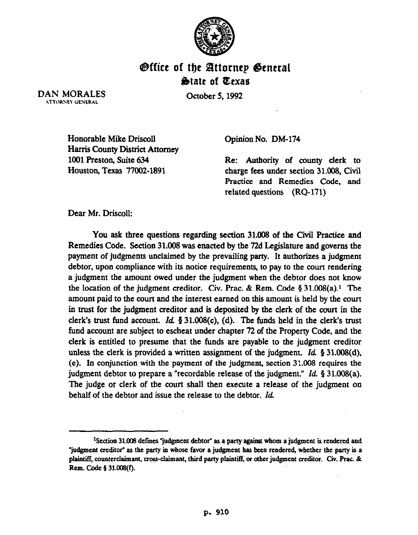

## **Office of the Attornep General Sbtatt of Qexae**

**October** 5,1992

DAN MORALES .\TTORS:EY GENERAL

> Honorable Mike DriscoII Harris County District Attorney 1001 Preston, Suite 634 Houston, Texas 77002-1891

Opinion No. DM-174

Re: Authority of county clerk to charge fees under section 31.008, Civil Practice and Remedies Code, and related questions (RQ-171)

Dear Mr. Driscoll:

You ask three questions regarding section 31.008 of the Civil Practice and Remedies Code. Section 31.008 was enacted by the 72d Legislature and governs the payment of judgments unclaimed by the prevailing party. It authorizes a judgment debtor, upon compliance with its notice requirements, to pay to the court rendering a judgment the amount owed under the judgment when the debtor does not know the location of the judgment creditor. Civ. Prac. & Rem. Code  $\S 31.008(a)$ .<sup>1</sup> The amount paid to the court and the interest earned on this amount is held by the court in trust for the judgment creditor and is deposited by the clerk of the court in the clerk's trust fund account. Id.  $\S 31.008(c)$ , (d). The funds held in the clerk's trust fund account are subject to escheat under chapter 72 of the Property Code, and the clerk is entitled to presume that the funds are payable to the judgment creditor unless the clerk is provided a written assignment of the judgment. *Id.* § 31.008(d), (e). In conjunction with the payment of the judgment, section 31.008 requires the judgment debtor to prepare a "recordable release of the judgment." *Id.* § 31.008(a). The judge or clerk of the court shall then execute a release of the judgment on behalf of the debtor and issue the release to the debtor. Id.

<sup>&</sup>lt;sup>1</sup>Section 31.008 defines "judgment debtor" as a party against whom a judgment is rendered and "judgment creditor" as the party in whose favor a judgment has been rendered, whether the party is a plaintiff, counterclaimant, cross-claimant, third party plaintiff, or other judgment creditor. Civ. Prac. & **Rem. Code 5 31.008(f).**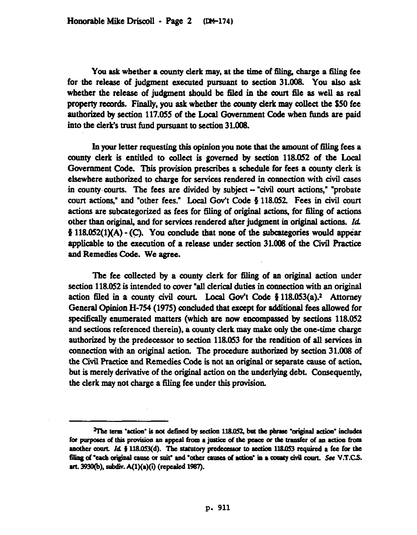You ask whether a county clerk may, at the time of filing, charge a filing fee for the release of judgment executed pursuant to section 31.008. You also ask whether the release of judgment should be filed in the court file as well as real property records. Finally, you ask whether the county clerk may collect the \$50 fee authorized by section 117.055 of the Local Government code when funds are paid into the clerk's trust fund pursuant to section 31.008.

In your letter requesting this opinion you note that the amount of filing fees a county clerk is entitled to collect is governed by section 118.052 of the Local Government Code. This provision prescribes a schedule for fees a county clerk is elsewhere authorized to charge for services rendered in connection with civil cases in county courts. The fees are divided by subject - "civil court actions," "probate court actions," and "other fees." Local Gov't Code  $\S$  118.052. Fees in civil court actions are subcategorized as fees for filing of original actions, for filing of actions other than origimd, and for services rendered after judgment in original actions. *Id*   $\frac{1}{2}$  118.052(1)(A) - (C). You conclude that none of the subcategories would appear applicable to the execution of a release under section 31.008 of the Civil Practice and Remedies Code. We agree.

The fee collected by a county clerk for filing of an original action under section 118.052 is intended to coyer "all clerical duties in connection with an original action filed in a county civil court. Local Gov't Code  $\S 118.053(a).$ <sup>2</sup> Attorney General Opinion H-754 (1975) concluded that except for additional fees allowed for specifically enumerated matters (which are now encompassed by sections 118.052 and sections referenced therein), a county clerk may make only the one-time charge authorized by the predecessor to section 118.053 for the rendition of all services in connection with an original action. The procedure authorized by section 31.008 of the Civil Practice and Remedies Code is not an original or separate cause of action, but is merely derivative of the original action on the underlying debt. Consequently, the clerk may not charge a filing fee under this provision.

<sup>&</sup>lt;sup>2</sup>The term "action" is not defined by section 118.052, but the phrase "original action" includes for purposes of this provision an appeal from a justice of the peace or the transfer of an action from another court. Id. § 118.053(d). The statutory predecessor to section 118.053 required a fee for the filing of "each original cause or suit" and "other causes of action" in a county civil court. See V.T.C.S. art. 3930(b), subdiv. A(1)(a)(i) (repealed 1987).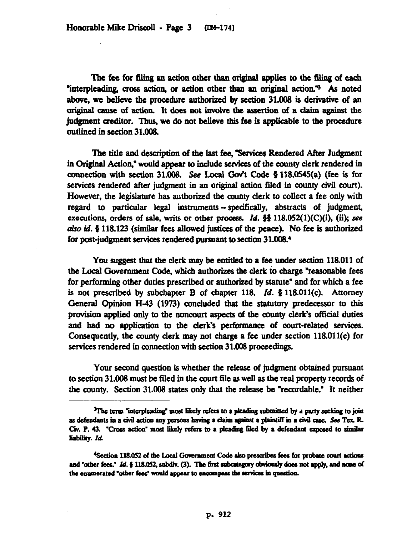The fee for filing an action other than original applies to the filing of each "interpleading, cross action, or action other than an original action." As noted above, we believe the procedure authorized by section 31.008 is derivative of an original cause of action. It does not involve the assertion of a claim against the judgment creditor. Thus, we do not believe this fee is applicable to the procedure outlined in section 31.008.

The title and description of the fast fee, 'Services Rendered After Judgment in Original Action," would appear to include services of the county clerk rendered in connection with section 31.008. See Local Gov't Code  $\S$  118.0545(a) (fee is for setvices rendered after judgment in an original action filed in county civil court). However, the legislature has authorized the county clerk to collect a fee only with regard to particular legal instruments - specifically, abstracts of judgment, executions, orders of sale, writs or other process. *Id.*  $\S$ § 118.052(1)(C)(i), (ii); see also id.  $\frac{1}{2}$  118.123 (similar fees allowed justices of the peace). No fee is authorized for post-judgment services rendered pursuant to section 31.008.4

You suggest that the clerk may be entitled to a fee under section 118.011 of the Local Government Code, which authorizes the clerk to charge "reasonable fees for performing other duties prescribed or authorized by statute" and for which a fee is not prescribed by subchapter B of chapter 118. *Id.* § 118.011(c). Attorney General Opinion H-43 (1973) concluded that the statutory predecessor to this provision applied only to the noncourt aspects of tbe county clerk's official duties and had no application to the clerk's performance of court-related services. Consequently. the county clerk may not charge a fee under section 118.011(c) for services rendered in connection with section 31.008 proceedings.

Your second question is whether the release of judgment obtained pursuant to section 31.008 must be filed in the court file as well as the real property records of the county. Section 31.008 states only that the release be "recordable." It neither

 ${}^{3}$ The term "interpleading" most likely refers to a pleading submitted by a party seeking to join as defendants in a civil action any persons having a claim against a plaintiff in a civil case. See Tex. R. Civ. P. 43. "Cross action" most likely refers to a pleading filed by a defendant exposed to similar liability. Id.

<sup>&</sup>lt;sup>4</sup>Section 118.052 of the Local Government Code also prescribes fees for probate court actions and "other fees." Id. § 118.052, subdiv. (3). The first subcategory obviously does not apply, and none of the enumerated "other fees" would appear to encompass the services in question.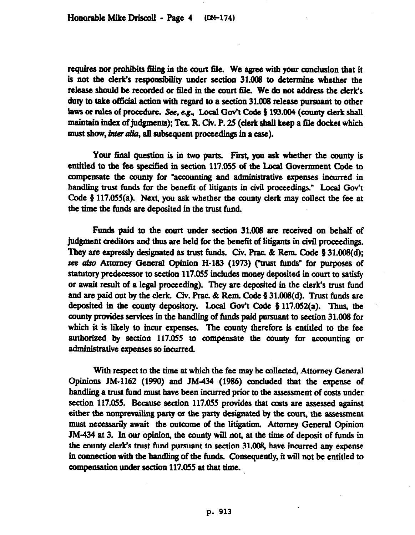requires nor prohibits filing in the court file. We agree with your conclusion that it is not the clerk's responsibility under section 31.008 to determine whether the release should be recorded or filed in the court file. We do not address the clerk's duty to take official action with regard to a section 31.008 release pursuant to other laws or rules of procedure. See, e.g., Local Gov't Code § 193.004 (county clerk shall maintain index of judgments); Tex. R. Civ. P. 25 (clerk shall keep a file docket which must show, *inter alia*, all subsequent proceedings in a case).

Your final question is in two parts. First, you ask whether the county is entitled to the fee specified in section 117.055 of the Local Govermnent code to compensate the county for "accounting and administrative expenses incurred in handling trust funds for the benefit of litigants in civil proceedings." Local Gov't Code  $\S$  117.055(a). Next, you ask whether the county clerk may collect the fee at the time the funds are deposited in the trust fund.

Funds paid to the court under section 31.008 are received on behalf of judgment creditors and thus are held for the benefit of litigants in civil proceedings. They are expressly designated as trust funds. Civ. Prac.  $\&$  Rem. Code  $\&$  31.008(d); see also Attorney General Opinion H-183 (1973) ("trust funds" for purposes of statutory predecessor to section 117.055 includes money deposited in court to satisfy or await result of a legal proceeding). They are deposited in the clerk's trust fund and are paid out by the clerk. Civ. Prac.  $\&$  Rem. Code § 31.008(d). Trust funds are deposited in the county depository. Local Gov't Code  $\S 117.052(a)$ . Thus, the county provides services in the handling of funds paid pursuant to section 31.008 for which it is likely to incur expenses. The county therefore is entitled to the fee authorized by section 117.055 to compensate the county for accounting or administrative expenses so incnrred.

With respect to the time at which the fee may be collected, Attorney General Opinions JM-1162 (1990) and JM-434 (1986) concluded that the expense of handling a trust fimd must have been incurred prior to the assessment of costs under section 117.055. Because section 117.055 provides that costs are assessed against either the nonprevailing party or the party designated by the court, the assessment must necessarily await the outcome of the litigation. Attorney General Opinion JM-434 at 3. In our opinion, the county will not, at the time of deposit of funds in the county clerk's trust fund pursuant to section 31.OOg, have incurred any expense in comrection with the handling of the funds. Consequently, it will not be entitled to compensation under section 117.055 at that time.